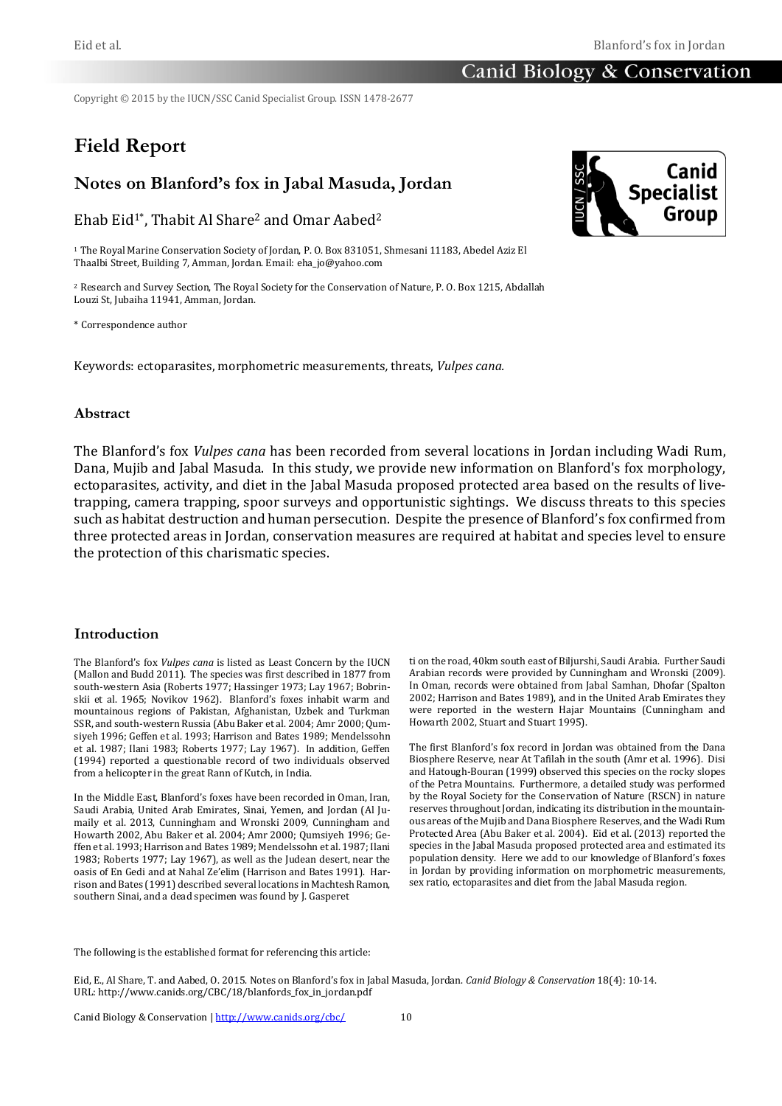Copyright © 2015 by the IUCN/SSC Canid Specialist Group. ISSN 1478-2677

# **Field Report**

# **Notes on Blanford's fox in Jabal Masuda, Jordan**

Ehab Eid<sup>1\*</sup>, Thabit Al Share<sup>2</sup> and Omar Aabed<sup>2</sup>

<sup>1</sup> The Royal Marine Conservation Society of Jordan, P. O. Box 831051, Shmesani 11183, Abedel Aziz El Thaalbi Street, Building 7, Amman, Jordan. Email: eha\_jo@yahoo.com

<sup>2</sup> Research and Survey Section, The Royal Society for the Conservation of Nature, P. O. Box 1215, Abdallah Louzi St, Jubaiha 11941, Amman, Jordan.

\* Correspondence author

Keywords: ectoparasites, morphometric measurements*,* threats, *Vulpes cana.*

## **Abstract**

The Blanford's fox *Vulpes cana* has been recorded from several locations in Jordan including Wadi Rum, Dana, Mujib and Jabal Masuda. In this study, we provide new information on Blanford's fox morphology, ectoparasites, activity, and diet in the Jabal Masuda proposed protected area based on the results of livetrapping, camera trapping, spoor surveys and opportunistic sightings. We discuss threats to this species such as habitat destruction and human persecution. Despite the presence of Blanford's fox confirmed from three protected areas in Jordan, conservation measures are required at habitat and species level to ensure the protection of this charismatic species.

### **Introduction**

The Blanford's fox *Vulpes cana* is listed as Least Concern by the IUCN (Mallon and Budd 2011). The species was first described in 1877 from south-western Asia (Roberts 1977; Hassinger 1973; Lay 1967; Bobrinskii et al. 1965; Novikov 1962). Blanford's foxes inhabit warm and mountainous regions of Pakistan, Afghanistan, Uzbek and Turkman SSR, and south-western Russia (Abu Baker et al. 2004; Amr 2000; Qumsiyeh 1996; Geffen et al. 1993; Harrison and Bates 1989; Mendelssohn et al. 1987; Ilani 1983; Roberts 1977; Lay 1967). In addition, Geffen (1994) reported a questionable record of two individuals observed from a helicopter in the great Rann of Kutch, in India.

In the Middle East, Blanford's foxes have been recorded in Oman, Iran, Saudi Arabia, United Arab Emirates, Sinai, Yemen, and Jordan (Al Jumaily et al. 2013, Cunningham and Wronski 2009, Cunningham and Howarth 2002, Abu Baker et al. 2004; Amr 2000; Qumsiyeh 1996; Geffen et al. 1993; Harrison and Bates 1989; Mendelssohn et al. 1987; Ilani 1983; Roberts 1977; Lay 1967), as well as the Judean desert, near the oasis of En Gedi and at Nahal Ze'elim (Harrison and Bates 1991). Harrison and Bates (1991) described several locations in Machtesh Ramon, southern Sinai, and a dead specimen was found by J. Gasperet

ti on the road, 40km south east of Biljurshi, Saudi Arabia. Further Saudi Arabian records were provided by Cunningham and Wronski (2009). In Oman, records were obtained from Jabal Samhan, Dhofar (Spalton 2002; Harrison and Bates 1989), and in the United Arab Emirates they were reported in the western Hajar Mountains (Cunningham and Howarth 2002, Stuart and Stuart 1995).

The first Blanford's fox record in Jordan was obtained from the Dana Biosphere Reserve, near At Tafilah in the south (Amr et al. 1996). Disi and Hatough-Bouran (1999) observed this species on the rocky slopes of the Petra Mountains. Furthermore, a detailed study was performed by the Royal Society for the Conservation of Nature (RSCN) in nature reserves throughout Jordan, indicating its distribution in the mountainous areas of the Mujib and Dana Biosphere Reserves, and the Wadi Rum Protected Area (Abu Baker et al. 2004). Eid et al. (2013) reported the species in the Jabal Masuda proposed protected area and estimated its population density. Here we add to our knowledge of Blanford's foxes in Jordan by providing information on morphometric measurements, sex ratio, ectoparasites and diet from the Jabal Masuda region.

The following is the established format for referencing this article:



Eid, E., Al Share, T. and Aabed, O. 2015. Notes on Blanford's fox in Jabal Masuda, Jordan. *Canid Biology & Conservation* 18(4): 10-14. URL: http://www.canids.org/CBC/18/blanfords\_fox\_in\_jordan.pdf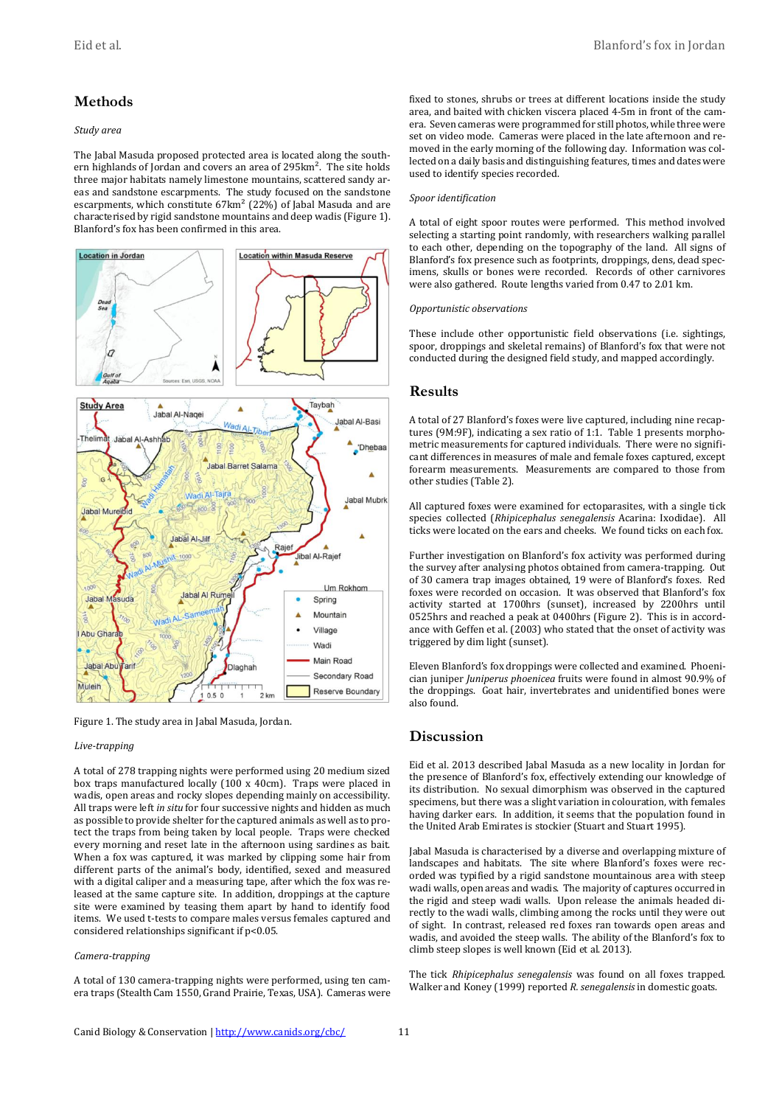# **Methods**

#### *Study area*

The Jabal Masuda proposed protected area is located along the southern highlands of Jordan and covers an area of 295km<sup>2</sup>. The site holds three major habitats namely limestone mountains, scattered sandy areas and sandstone escarpments. The study focused on the sandstone escarpments, which constitute 67km<sup>2</sup> (22%) of Jabal Masuda and are characterised by rigid sandstone mountains and deep wadis (Figure 1). Blanford's fox has been confirmed in this area.



Figure 1. The study area in Jabal Masuda, Jordan.

#### *Live-trapping*

A total of 278 trapping nights were performed using 20 medium sized box traps manufactured locally (100 x 40cm). Traps were placed in wadis, open areas and rocky slopes depending mainly on accessibility. All traps were left *in situ* for four successive nights and hidden as much as possible to provide shelter for the captured animals as well as to protect the traps from being taken by local people. Traps were checked every morning and reset late in the afternoon using sardines as bait. When a fox was captured, it was marked by clipping some hair from different parts of the animal's body, identified, sexed and measured with a digital caliper and a measuring tape, after which the fox was released at the same capture site. In addition, droppings at the capture site were examined by teasing them apart by hand to identify food items. We used t-tests to compare males versus females captured and considered relationships significant if p<0.05.

### *Camera-trapping*

A total of 130 camera-trapping nights were performed, using ten camera traps (Stealth Cam 1550, Grand Prairie, Texas, USA). Cameras were fixed to stones, shrubs or trees at different locations inside the study area, and baited with chicken viscera placed 4-5m in front of the camera. Seven cameras were programmed for still photos, while three were set on video mode. Cameras were placed in the late afternoon and removed in the early morning of the following day. Information was collected on a daily basis and distinguishing features, times and dates were used to identify species recorded.

#### *Spoor identification*

A total of eight spoor routes were performed. This method involved selecting a starting point randomly, with researchers walking parallel to each other, depending on the topography of the land. All signs of Blanford's fox presence such as footprints, droppings, dens, dead specimens, skulls or bones were recorded. Records of other carnivores were also gathered. Route lengths varied from 0.47 to 2.01 km.

#### *Opportunistic observations*

These include other opportunistic field observations (i.e. sightings, spoor, droppings and skeletal remains) of Blanford's fox that were not conducted during the designed field study, and mapped accordingly.

### **Results**

A total of 27 Blanford's foxes were live captured, including nine recaptures (9M:9F), indicating a sex ratio of 1:1. Table 1 presents morphometric measurements for captured individuals. There were no significant differences in measures of male and female foxes captured, except forearm measurements. Measurements are compared to those from other studies (Table 2).

All captured foxes were examined for ectoparasites, with a single tick species collected (*Rhipicephalus senegalensis* Acarina: Ixodidae). All ticks were located on the ears and cheeks. We found ticks on each fox.

Further investigation on Blanford's fox activity was performed during the survey after analysing photos obtained from camera-trapping. Out of 30 camera trap images obtained, 19 were of Blanford's foxes. Red foxes were recorded on occasion. It was observed that Blanford's fox activity started at 1700hrs (sunset), increased by 2200hrs until 0525hrs and reached a peak at 0400hrs (Figure 2). This is in accordance with Geffen et al. (2003) who stated that the onset of activity was triggered by dim light (sunset).

Eleven Blanford's fox droppings were collected and examined. Phoenician juniper *Juniperus phoenicea* fruits were found in almost 90.9% of the droppings. Goat hair, invertebrates and unidentified bones were also found.

# **Discussion**

Eid et al. 2013 described Jabal Masuda as a new locality in Jordan for the presence of Blanford's fox, effectively extending our knowledge of its distribution. No sexual dimorphism was observed in the captured specimens, but there was a slight variation in colouration, with females having darker ears. In addition, it seems that the population found in the United Arab Emirates is stockier (Stuart and Stuart 1995).

Jabal Masuda is characterised by a diverse and overlapping mixture of landscapes and habitats. The site where Blanford's foxes were recorded was typified by a rigid sandstone mountainous area with steep wadi walls, open areas and wadis. The majority of captures occurred in the rigid and steep wadi walls. Upon release the animals headed directly to the wadi walls, climbing among the rocks until they were out of sight. In contrast, released red foxes ran towards open areas and wadis, and avoided the steep walls. The ability of the Blanford's fox to climb steep slopes is well known (Eid et al. 2013).

The tick *Rhipicephalus senegalensis* was found on all foxes trapped. Walker and Koney (1999) reported *R. senegalensis* in domestic goats.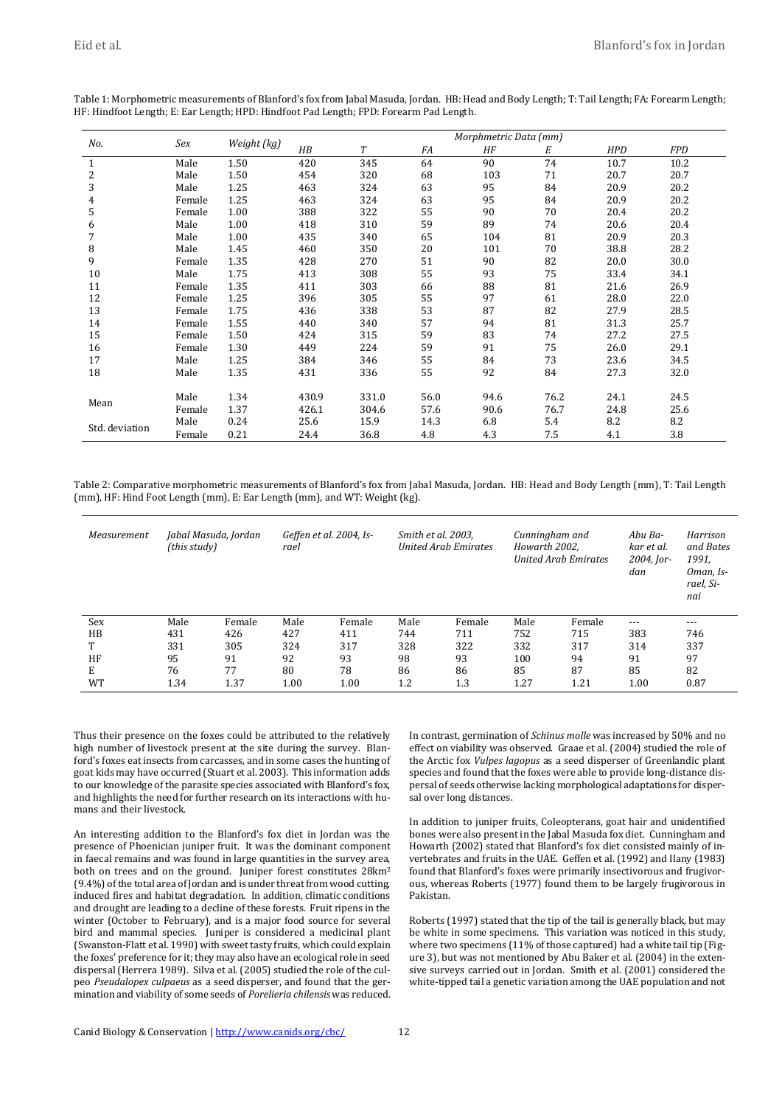| No.            | Sex    | Weight (kg) | Morphmetric Data (mm) |       |      |      |      |            |            |  |
|----------------|--------|-------------|-----------------------|-------|------|------|------|------------|------------|--|
|                |        |             | H B                   | T     | FA   | ΗF   | Е    | <b>HPD</b> | <b>FPD</b> |  |
|                | Male   | 1.50        | 420                   | 345   | 64   | 90   | 74   | 10.7       | 10.2       |  |
| $\overline{c}$ | Male   | 1.50        | 454                   | 320   | 68   | 103  | 71   | 20.7       | 20.7       |  |
| 3              | Male   | 1.25        | 463                   | 324   | 63   | 95   | 84   | 20.9       | 20.2       |  |
| 4              | Female | 1.25        | 463                   | 324   | 63   | 95   | 84   | 20.9       | 20.2       |  |
| 5              | Female | 1.00        | 388                   | 322   | 55   | 90   | 70   | 20.4       | 20.2       |  |
| 6              | Male   | 1.00        | 418                   | 310   | 59   | 89   | 74   | 20.6       | 20.4       |  |
| 7              | Male   | 1.00        | 435                   | 340   | 65   | 104  | 81   | 20.9       | 20.3       |  |
| 8              | Male   | 1.45        | 460                   | 350   | 20   | 101  | 70   | 38.8       | 28.2       |  |
| 9              | Female | 1.35        | 428                   | 270   | 51   | 90   | 82   | 20.0       | 30.0       |  |
| 10             | Male   | 1.75        | 413                   | 308   | 55   | 93   | 75   | 33.4       | 34.1       |  |
| 11             | Female | 1.35        | 411                   | 303   | 66   | 88   | 81   | 21.6       | 26.9       |  |
| 12             | Female | 1.25        | 396                   | 305   | 55   | 97   | 61   | 28.0       | 22.0       |  |
| 13             | Female | 1.75        | 436                   | 338   | 53   | 87   | 82   | 27.9       | 28.5       |  |
| 14             | Female | 1.55        | 440                   | 340   | 57   | 94   | 81   | 31.3       | 25.7       |  |
| 15             | Female | 1.50        | 424                   | 315   | 59   | 83   | 74   | 27.2       | 27.5       |  |
| 16             | Female | 1.30        | 449                   | 224   | 59   | 91   | 75   | 26.0       | 29.1       |  |
| 17             | Male   | 1.25        | 384                   | 346   | 55   | 84   | 73   | 23.6       | 34.5       |  |
| 18             | Male   | 1.35        | 431                   | 336   | 55   | 92   | 84   | 27.3       | 32.0       |  |
| Mean           |        |             |                       |       |      |      |      |            |            |  |
|                | Male   | 1.34        | 430.9                 | 331.0 | 56.0 | 94.6 | 76.2 | 24.1       | 24.5       |  |
|                | Female | 1.37        | 426.1                 | 304.6 | 57.6 | 90.6 | 76.7 | 24.8       | 25.6       |  |
| Std. deviation | Male   | 0.24        | 25.6                  | 15.9  | 14.3 | 6.8  | 5.4  | 8.2        | 8.2        |  |
|                | Female | 0.21        | 24.4                  | 36.8  | 4.8  | 4.3  | 7.5  | 4.1        | 3.8        |  |

Table 1: Morphometric measurements of Blanford's fox from Jabal Masuda, Jordan. HB: Head and Body Length; T: Tail Length; FA: Forearm Length; HF: Hindfoot Length; E: Ear Length; HPD: Hindfoot Pad Length; FPD: Forearm Pad Length.

Table 2: Comparative morphometric measurements of Blanford's fox from Jabal Masuda, Jordan. HB: Head and Body Length (mm), T: Tail Length (mm), HF: Hind Foot Length (mm), E: Ear Length (mm), and WT: Weight (kg).

| Measurement | Jabal Masuda, Jordan<br>(this study) |        | Geffen et al. 2004, Is-<br>rael |        |      | Smith et al. 2003,<br><b>United Arab Emirates</b> |      | Cunningham and<br>Howarth 2002.<br><b>United Arab Emirates</b> |       | Harrison<br>and Bates<br>1991.<br>Oman, Is-<br>rael, Si-<br>nai |
|-------------|--------------------------------------|--------|---------------------------------|--------|------|---------------------------------------------------|------|----------------------------------------------------------------|-------|-----------------------------------------------------------------|
| Sex         | Male                                 | Female | Male                            | Female | Male | Female                                            | Male | Female                                                         | $---$ | $---$                                                           |
| HB          | 431                                  | 426    | 427                             | 411    | 744  | 711                                               | 752  | 715                                                            | 383   | 746                                                             |
| т           | 331                                  | 305    | 324                             | 317    | 328  | 322                                               | 332  | 317                                                            | 314   | 337                                                             |
| HF          | 95                                   | 91     | 92                              | 93     | 98   | 93                                                | 100  | 94                                                             | 91    | 97                                                              |
| E           | 76                                   | 77     | 80                              | 78     | 86   | 86                                                | 85   | 87                                                             | 85    | 82                                                              |
| <b>WT</b>   | 1.34                                 | 1.37   | 1.00                            | 1.00   | 1.2  | 1.3                                               | 1.27 | 1.21                                                           | 1.00  | 0.87                                                            |

Thus their presence on the foxes could be attributed to the relatively high number of livestock present at the site during the survey. Blanford's foxes eat insects from carcasses, and in some cases the hunting of goat kids may have occurred (Stuart et al. 2003). This information adds to our knowledge of the parasite species associated with Blanford's fox, and highlights the need for further research on its interactions with humans and their livestock.

An interesting addition to the Blanford's fox diet in Jordan was the presence of Phoenician juniper fruit. It was the dominant component in faecal remains and was found in large quantities in the survey area, both on trees and on the ground. Juniper forest constitutes 28km<sup>2</sup> (9.4%) of the total area of Jordan and is under threat from wood cutting, induced fires and habitat degradation. In addition, climatic conditions and drought are leading to a decline of these forests. Fruit ripens in the winter (October to February), and is a major food source for several bird and mammal species. Juniper is considered a medicinal plant (Swanston-Flatt et al. 1990) with sweet tasty fruits, which could explain the foxes' preference for it; they may also have an ecological role in seed dispersal (Herrera 1989). Silva et al. (2005) studied the role of the culpeo *Pseudalopex culpaeus* as a seed disperser, and found that the germination and viability of some seeds of *Porelieria chilensis* was reduced.

In contrast, germination of *Schinus molle* was increased by 50% and no effect on viability was observed. Graae et al. (2004) studied the role of the Arctic fox *Vulpes lagopus* as a seed disperser of Greenlandic plant species and found that the foxes were able to provide long-distance dispersal of seeds otherwise lacking morphological adaptations for dispersal over long distances.

In addition to juniper fruits, Coleopterans, goat hair and unidentified bones were also present in the Jabal Masuda fox diet. Cunningham and Howarth (2002) stated that Blanford's fox diet consisted mainly of invertebrates and fruits in the UAE. Geffen et al. (1992) and Ilany (1983) found that Blanford's foxes were primarily insectivorous and frugivorous, whereas Roberts (1977) found them to be largely frugivorous in Pakistan.

Roberts (1997) stated that the tip of the tail is generally black, but may be white in some specimens. This variation was noticed in this study, where two specimens (11% of those captured) had a white tail tip (Figure 3), but was not mentioned by Abu Baker et al. (2004) in the extensive surveys carried out in Jordan. Smith et al. (2001) considered the white-tipped tail a genetic variation among the UAE population and not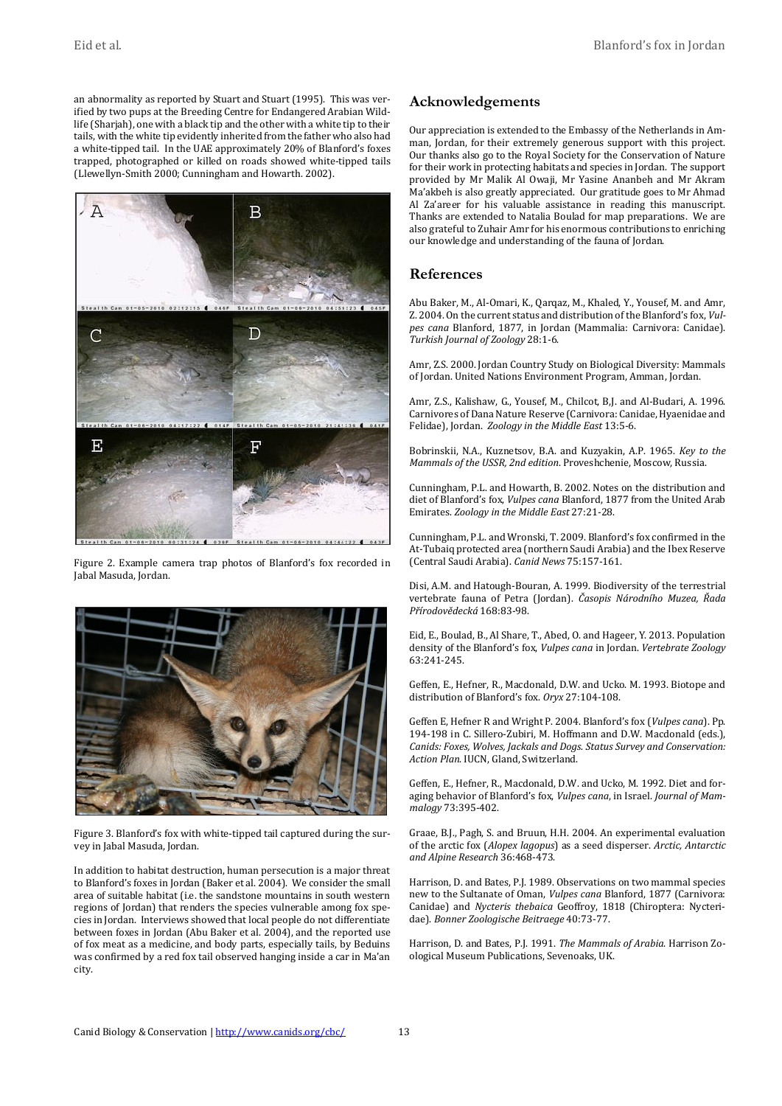an abnormality as reported by Stuart and Stuart (1995). This was verified by two pups at the Breeding Centre for Endangered Arabian Wildlife (Sharjah), one with a black tip and the other with a white tip to their tails, with the white tip evidently inherited from the father who also had a white-tipped tail. In the UAE approximately 20% of Blanford's foxes trapped, photographed or killed on roads showed white-tipped tails (Llewellyn-Smith 2000; Cunningham and Howarth. 2002).



Figure 2. Example camera trap photos of Blanford's fox recorded in Jabal Masuda, Jordan.



Figure 3. Blanford's fox with white-tipped tail captured during the survey in Jabal Masuda, Jordan.

In addition to habitat destruction, human persecution is a major threat to Blanford's foxes in Jordan (Baker et al. 2004). We consider the small area of suitable habitat (i.e. the sandstone mountains in south western regions of Jordan) that renders the species vulnerable among fox species in Jordan. Interviews showed that local people do not differentiate between foxes in Jordan (Abu Baker et al. 2004), and the reported use of fox meat as a medicine, and body parts, especially tails, by Beduins was confirmed by a red fox tail observed hanging inside a car in Ma'an city.

# **Acknowledgements**

Our appreciation is extended to the Embassy of the Netherlands in Amman, Jordan, for their extremely generous support with this project. Our thanks also go to the Royal Society for the Conservation of Nature for their work in protecting habitats and species in Jordan. The support provided by Mr Malik Al Owaji, Mr Yasine Ananbeh and Mr Akram Ma'akbeh is also greatly appreciated. Our gratitude goes to Mr Ahmad Al Za'areer for his valuable assistance in reading this manuscript. Thanks are extended to Natalia Boulad for map preparations. We are also grateful to Zuhair Amr for his enormous contributions to enriching our knowledge and understanding of the fauna of Jordan.

# **References**

Abu Baker, M., Al-Omari, K., Qarqaz, M., Khaled, Y., Yousef, M. and Amr, Z. 2004. On the current status and distribution of the Blanford's fox, *Vulpes cana* Blanford, 1877, in Jordan (Mammalia: Carnivora: Canidae). *Turkish Journal of Zoology* 28:1-6.

Amr, Z.S. 2000. Jordan Country Study on Biological Diversity: Mammals of Jordan. United Nations Environment Program, Amman, Jordan.

Amr, Z.S., Kalishaw, G., Yousef, M., Chilcot, B,J. and Al-Budari, A. 1996. Carnivores of Dana Nature Reserve (Carnivora: Canidae, Hyaenidae and Felidae), Jordan. *Zoology in the Middle East* 13:5-6.

Bobrinskii, N.A., Kuznetsov, B.A. and Kuzyakin, A.P. 1965. *Key to the Mammals of the USSR, 2nd edition*. Proveshchenie, Moscow, Russia.

Cunningham, P.L. and Howarth, B. 2002. Notes on the distribution and diet of Blanford's fox, *Vulpes cana* Blanford, 1877 from the United Arab Emirates. *Zoology in the Middle East* 27:21-28.

Cunningham, P.L. and Wronski, T. 2009. Blanford's fox confirmed in the At-Tubaiq protected area (northern Saudi Arabia) and the Ibex Reserve (Central Saudi Arabia). *Canid News* 75:157-161.

Disi, A.M. and Hatough-Bouran, A. 1999. Biodiversity of the terrestrial vertebrate fauna of Petra (Jordan). *Časopis Národního Muzea, Řada Přírodovědecká* 168:83-98.

Eid, E., Boulad, B., Al Share, T., Abed, O. and Hageer, Y. 2013. Population density of the Blanford's fox, *Vulpes cana* in Jordan. *Vertebrate Zoology* 63:241-245.

Geffen, E., Hefner, R., Macdonald, D.W. and Ucko. M. 1993. Biotope and distribution of Blanford's fox. *Oryx* 27:104-108.

Geffen E, Hefner R and Wright P. 2004. Blanford's fox (*Vulpes cana*). Pp. 194-198 in C. Sillero-Zubiri, M. Hoffmann and D.W. Macdonald (eds.), *Canids: Foxes, Wolves, Jackals and Dogs. Status Survey and Conservation: Action Plan*. IUCN, Gland, Switzerland.

Geffen, E., Hefner, R., Macdonald, D.W. and Ucko, M. 1992. Diet and foraging behavior of Blanford's fox, *Vulpes cana*, in Israel. *Journal of Mammalogy* 73:395-402.

Graae, B.J., Pagh, S. and Bruun, H.H. 2004. An experimental evaluation of the arctic fox (*Alopex lagopus*) as a seed disperser. *Arctic, Antarctic and Alpine Research* 36:468-473.

Harrison, D. and Bates, P.J. 1989. Observations on two mammal species new to the Sultanate of Oman, *Vulpes cana* Blanford, 1877 (Carnivora: Canidae) and *Nycteris thebaica* Geoffroy, 1818 (Chiroptera: Nycteridae). *Bonner Zoologische Beitraege* 40:73-77.

Harrison, D. and Bates, P.J. 1991. *The Mammals of Arabia*. Harrison Zoological Museum Publications, Sevenoaks, UK.